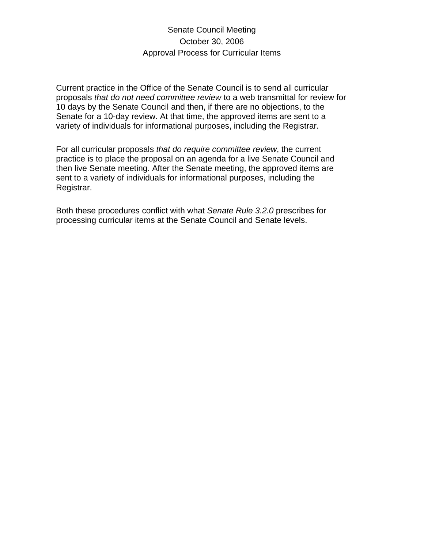## Senate Council Meeting October 30, 2006 Approval Process for Curricular Items

Current practice in the Office of the Senate Council is to send all curricular proposals *that do not need committee review* to a web transmittal for review for 10 days by the Senate Council and then, if there are no objections, to the Senate for a 10-day review. At that time, the approved items are sent to a variety of individuals for informational purposes, including the Registrar.

For all curricular proposals *that do require committee review*, the current practice is to place the proposal on an agenda for a live Senate Council and then live Senate meeting. After the Senate meeting, the approved items are sent to a variety of individuals for informational purposes, including the Registrar.

Both these procedures conflict with what *Senate Rule 3.2.0* prescribes for processing curricular items at the Senate Council and Senate levels.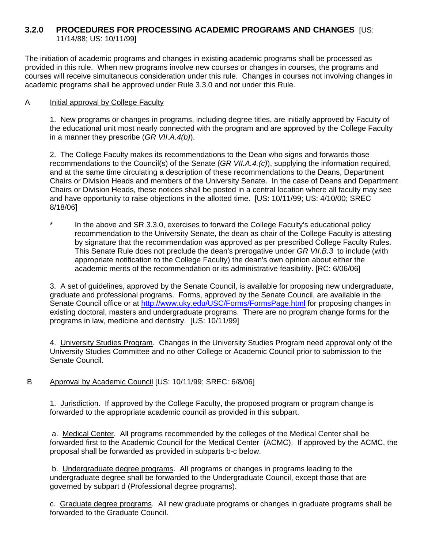### **3.2.0 PROCEDURES FOR PROCESSING ACADEMIC PROGRAMS AND CHANGES** [US: 11/14/88; US: 10/11/99]

The initiation of academic programs and changes in existing academic programs shall be processed as provided in this rule. When new programs involve new courses or changes in courses, the programs and courses will receive simultaneous consideration under this rule. Changes in courses not involving changes in academic programs shall be approved under Rule 3.3.0 and not under this Rule.

### A Initial approval by College Faculty

1. New programs or changes in programs, including degree titles, are initially approved by Faculty of the educational unit most nearly connected with the program and are approved by the College Faculty in a manner they prescribe (*GR VII.A.4(b)*).

2. The College Faculty makes its recommendations to the Dean who signs and forwards those recommendations to the Council(s) of the Senate (*GR VII.A.4.(c)*), supplying the information required, and at the same time circulating a description of these recommendations to the Deans, Department Chairs or Division Heads and members of the University Senate. In the case of Deans and Department Chairs or Division Heads, these notices shall be posted in a central location where all faculty may see and have opportunity to raise objections in the allotted time. [US: 10/11/99; US: 4/10/00; SREC 8/18/06]

In the above and SR 3.3.0, exercises to forward the College Faculty's educational policy recommendation to the University Senate, the dean as chair of the College Faculty is attesting by signature that the recommendation was approved as per prescribed College Faculty Rules. This Senate Rule does not preclude the dean's prerogative under *GR VII.B.3* to include (with appropriate notification to the College Faculty) the dean's own opinion about either the academic merits of the recommendation or its administrative feasibility. [RC: 6/06/06]

 3. A set of guidelines, approved by the Senate Council, is available for proposing new undergraduate, graduate and professional programs. Forms, approved by the Senate Council, are available in the Senate Council office or at http://www.uky.edu/USC/Forms/FormsPage.html for proposing changes in existing doctoral, masters and undergraduate programs. There are no program change forms for the programs in law, medicine and dentistry. [US: 10/11/99]

 4. University Studies Program. Changes in the University Studies Program need approval only of the University Studies Committee and no other College or Academic Council prior to submission to the Senate Council.

B Approval by Academic Council [US: 10/11/99; SREC: 6/8/06]

 1. Jurisdiction. If approved by the College Faculty, the proposed program or program change is forwarded to the appropriate academic council as provided in this subpart.

a. Medical Center. All programs recommended by the colleges of the Medical Center shall be forwarded first to the Academic Council for the Medical Center (ACMC). If approved by the ACMC, the proposal shall be forwarded as provided in subparts b-c below.

b. Undergraduate degree programs. All programs or changes in programs leading to the undergraduate degree shall be forwarded to the Undergraduate Council, except those that are governed by subpart d (Professional degree programs).

c. Graduate degree programs. All new graduate programs or changes in graduate programs shall be forwarded to the Graduate Council.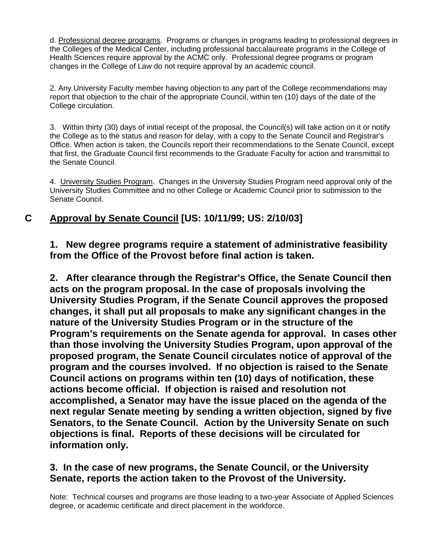d. Professional degree programs. Programs or changes in programs leading to professional degrees in the Colleges of the Medical Center, including professional baccalaureate programs in the College of Health Sciences require approval by the ACMC only. Professional degree programs or program changes in the College of Law do not require approval by an academic council.

 2. Any University Faculty member having objection to any part of the College recommendations may report that objection to the chair of the appropriate Council, within ten (10) days of the date of the College circulation.

3. Within thirty (30) days of initial receipt of the proposal, the Council(s) will take action on it or notify the College as to the status and reason for delay, with a copy to the Senate Council and Registrar's Office. When action is taken, the Councils report their recommendations to the Senate Council, except that first, the Graduate Council first recommends to the Graduate Faculty for action and transmittal to the Senate Council.

4. University Studies Program. Changes in the University Studies Program need approval only of the University Studies Committee and no other College or Academic Council prior to submission to the Senate Council.

# **C Approval by Senate Council [US: 10/11/99; US: 2/10/03]**

**1. New degree programs require a statement of administrative feasibility from the Office of the Provost before final action is taken.** 

**2. After clearance through the Registrar's Office, the Senate Council then acts on the program proposal. In the case of proposals involving the University Studies Program, if the Senate Council approves the proposed changes, it shall put all proposals to make any significant changes in the nature of the University Studies Program or in the structure of the Program's requirements on the Senate agenda for approval. In cases other than those involving the University Studies Program, upon approval of the proposed program, the Senate Council circulates notice of approval of the program and the courses involved. If no objection is raised to the Senate Council actions on programs within ten (10) days of notification, these actions become official. If objection is raised and resolution not accomplished, a Senator may have the issue placed on the agenda of the next regular Senate meeting by sending a written objection, signed by five Senators, to the Senate Council. Action by the University Senate on such objections is final. Reports of these decisions will be circulated for information only.** 

### **3. In the case of new programs, the Senate Council, or the University Senate, reports the action taken to the Provost of the University.**

Note: Technical courses and programs are those leading to a two-year Associate of Applied Sciences degree, or academic certificate and direct placement in the workforce.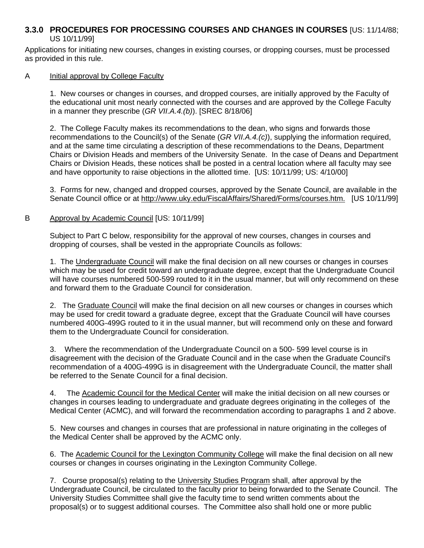### **3.3.0 PROCEDURES FOR PROCESSING COURSES AND CHANGES IN COURSES** [US: 11/14/88; US 10/11/99]

Applications for initiating new courses, changes in existing courses, or dropping courses, must be processed as provided in this rule.

#### A Initial approval by College Faculty

1. New courses or changes in courses, and dropped courses, are initially approved by the Faculty of the educational unit most nearly connected with the courses and are approved by the College Faculty in a manner they prescribe (*GR VII.A.4.(b)*). [SREC 8/18/06]

2. The College Faculty makes its recommendations to the dean, who signs and forwards those recommendations to the Council(s) of the Senate (*GR VII.A.4.(c)*), supplying the information required, and at the same time circulating a description of these recommendations to the Deans, Department Chairs or Division Heads and members of the University Senate. In the case of Deans and Department Chairs or Division Heads, these notices shall be posted in a central location where all faculty may see and have opportunity to raise objections in the allotted time. [US: 10/11/99; US: 4/10/00]

 3. Forms for new, changed and dropped courses, approved by the Senate Council, are available in the Senate Council office or at http://www.uky.edu/FiscalAffairs/Shared/Forms/courses.htm. [US 10/11/99]

#### B Approval by Academic Council [US: 10/11/99]

Subject to Part C below, responsibility for the approval of new courses, changes in courses and dropping of courses, shall be vested in the appropriate Councils as follows:

1. The Undergraduate Council will make the final decision on all new courses or changes in courses which may be used for credit toward an undergraduate degree, except that the Undergraduate Council will have courses numbered 500-599 routed to it in the usual manner, but will only recommend on these and forward them to the Graduate Council for consideration.

2. The Graduate Council will make the final decision on all new courses or changes in courses which may be used for credit toward a graduate degree, except that the Graduate Council will have courses numbered 400G-499G routed to it in the usual manner, but will recommend only on these and forward them to the Undergraduate Council for consideration.

3. Where the recommendation of the Undergraduate Council on a 500- 599 level course is in disagreement with the decision of the Graduate Council and in the case when the Graduate Council's recommendation of a 400G-499G is in disagreement with the Undergraduate Council, the matter shall be referred to the Senate Council for a final decision.

4. The Academic Council for the Medical Center will make the initial decision on all new courses or changes in courses leading to undergraduate and graduate degrees originating in the colleges of the Medical Center (ACMC), and will forward the recommendation according to paragraphs 1 and 2 above.

5. New courses and changes in courses that are professional in nature originating in the colleges of the Medical Center shall be approved by the ACMC only.

6. The Academic Council for the Lexington Community College will make the final decision on all new courses or changes in courses originating in the Lexington Community College.

7. Course proposal(s) relating to the University Studies Program shall, after approval by the Undergraduate Council, be circulated to the faculty prior to being forwarded to the Senate Council. The University Studies Committee shall give the faculty time to send written comments about the proposal(s) or to suggest additional courses. The Committee also shall hold one or more public